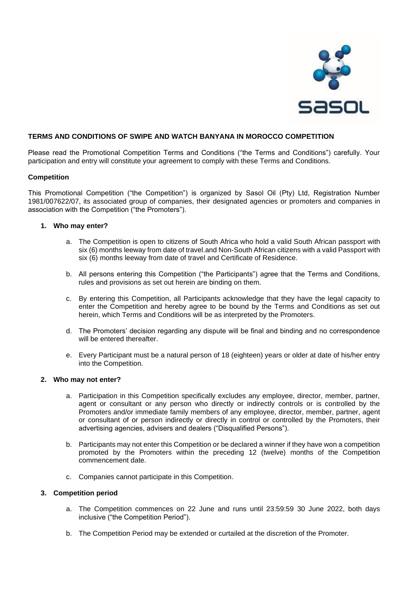

# **TERMS AND CONDITIONS OF SWIPE AND WATCH BANYANA IN MOROCCO COMPETITION**

Please read the Promotional Competition Terms and Conditions ("the Terms and Conditions") carefully. Your participation and entry will constitute your agreement to comply with these Terms and Conditions.

### **Competition**

This Promotional Competition ("the Competition") is organized by Sasol Oil (Pty) Ltd, Registration Number 1981/007622/07, its associated group of companies, their designated agencies or promoters and companies in association with the Competition ("the Promoters").

### **1. Who may enter?**

- a. The Competition is open to citizens of South Africa who hold a valid South African passport with six (6) months leeway from date of travel.and Non-South African citizens with a valid Passport with six (6) months leeway from date of travel and Certificate of Residence.
- b. All persons entering this Competition ("the Participants") agree that the Terms and Conditions, rules and provisions as set out herein are binding on them.
- c. By entering this Competition, all Participants acknowledge that they have the legal capacity to enter the Competition and hereby agree to be bound by the Terms and Conditions as set out herein, which Terms and Conditions will be as interpreted by the Promoters.
- d. The Promoters' decision regarding any dispute will be final and binding and no correspondence will be entered thereafter.
- e. Every Participant must be a natural person of 18 (eighteen) years or older at date of his/her entry into the Competition.

### **2. Who may not enter?**

- a. Participation in this Competition specifically excludes any employee, director, member, partner, agent or consultant or any person who directly or indirectly controls or is controlled by the Promoters and/or immediate family members of any employee, director, member, partner, agent or consultant of or person indirectly or directly in control or controlled by the Promoters, their advertising agencies, advisers and dealers ("Disqualified Persons").
- b. Participants may not enter this Competition or be declared a winner if they have won a competition promoted by the Promoters within the preceding 12 (twelve) months of the Competition commencement date.
- c. Companies cannot participate in this Competition.

### **3. Competition period**

- a. The Competition commences on 22 June and runs until 23:59:59 30 June 2022, both days inclusive ("the Competition Period").
- b. The Competition Period may be extended or curtailed at the discretion of the Promoter.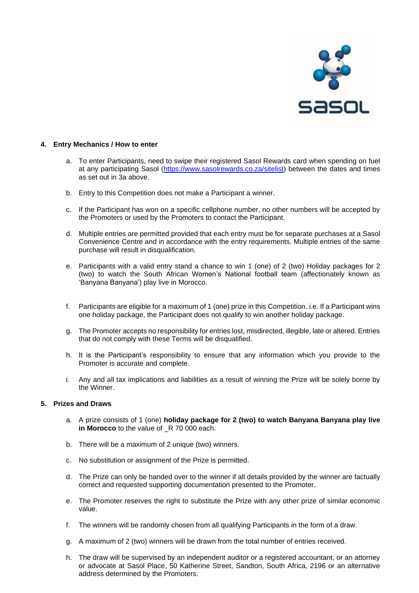

## **4. Entry Mechanics / How to enter**

- a. To enter Participants, need to swipe their registered Sasol Rewards card when spending on fuel at any participating Sasol [\(https://www.sasolrewards.co.za/sitelist\)](https://www.sasolrewards.co.za/sitelist) between the dates and times as set out in 3a above.
- b. Entry to this Competition does not make a Participant a winner.
- c. If the Participant has won on a specific cellphone number, no other numbers will be accepted by the Promoters or used by the Promoters to contact the Participant.
- d. Multiple entries are permitted provided that each entry must be for separate purchases at a Sasol Convenience Centre and in accordance with the entry requirements. Multiple entries of the same purchase will result in disqualification.
- e. Participants with a valid entry stand a chance to win 1 (one) of 2 (two) Holiday packages for 2 (two) to watch the South African Women's National football team (affectionately known as 'Banyana Banyana') play live in Morocco.
- f. Participants are eligible for a maximum of 1 (one) prize in this Competition. i.e. If a Participant wins one holiday package, the Participant does not qualify to win another holiday package.
- g. The Promoter accepts no responsibility for entries lost, misdirected, illegible, late or altered. Entries that do not comply with these Terms will be disqualified.
- h. It is the Participant's responsibility to ensure that any information which you provide to the Promoter is accurate and complete.
- i. Any and all tax implications and liabilities as a result of winning the Prize will be solely borne by the Winner.

### **5. Prizes and Draws**

- a. A prize consists of 1 (one) **holiday package for 2 (two) to watch Banyana Banyana play live in Morocco** to the value of  $R$  70 000 each.
- b. There will be a maximum of 2 unique (two) winners.
- c. No substitution or assignment of the Prize is permitted.
- d. The Prize can only be handed over to the winner if all details provided by the winner are factually correct and requested supporting documentation presented to the Promoter.
- e. The Promoter reserves the right to substitute the Prize with any other prize of similar economic value.
- f. The winners will be randomly chosen from all qualifying Participants in the form of a draw.
- g. A maximum of 2 (two) winners will be drawn from the total number of entries received.
- h. The draw will be supervised by an independent auditor or a registered accountant, or an attorney or advocate at Sasol Place, 50 Katherine Street, Sandton, South Africa, 2196 or an alternative address determined by the Promoters.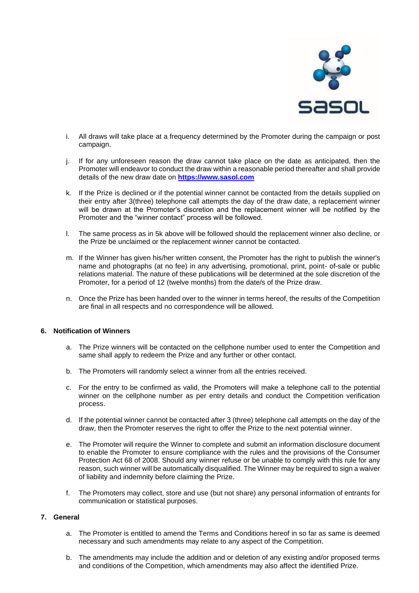

- i. All draws will take place at a frequency determined by the Promoter during the campaign or post campaign.
- j. If for any unforeseen reason the draw cannot take place on the date as anticipated, then the Promoter will endeavor to conduct the draw within a reasonable period thereafter and shall provide details of the new draw date on **[https://www.sasol.com](https://www.sasol.com/)**
- k. If the Prize is declined or if the potential winner cannot be contacted from the details supplied on their entry after 3(three) telephone call attempts the day of the draw date, a replacement winner will be drawn at the Promoter's discretion and the replacement winner will be notified by the Promoter and the "winner contact" process will be followed.
- l. The same process as in 5k above will be followed should the replacement winner also decline, or the Prize be unclaimed or the replacement winner cannot be contacted.
- m. If the Winner has given his/her written consent, the Promoter has the right to publish the winner's name and photographs (at no fee) in any advertising, promotional, print, point- of-sale or public relations material. The nature of these publications will be determined at the sole discretion of the Promoter, for a period of 12 (twelve months) from the date/s of the Prize draw.
- n. Once the Prize has been handed over to the winner in terms hereof, the results of the Competition are final in all respects and no correspondence will be allowed.

### **6. Notification of Winners**

- a. The Prize winners will be contacted on the cellphone number used to enter the Competition and same shall apply to redeem the Prize and any further or other contact.
- b. The Promoters will randomly select a winner from all the entries received.
- c. For the entry to be confirmed as valid, the Promoters will make a telephone call to the potential winner on the cellphone number as per entry details and conduct the Competition verification process.
- d. If the potential winner cannot be contacted after 3 (three) telephone call attempts on the day of the draw, then the Promoter reserves the right to offer the Prize to the next potential winner.
- e. The Promoter will require the Winner to complete and submit an information disclosure document to enable the Promoter to ensure compliance with the rules and the provisions of the Consumer Protection Act 68 of 2008. Should any winner refuse or be unable to comply with this rule for any reason, such winner will be automatically disqualified. The Winner may be required to sign a waiver of liability and indemnity before claiming the Prize.
- f. The Promoters may collect, store and use (but not share) any personal information of entrants for communication or statistical purposes.

### **7. General**

- a. The Promoter is entitled to amend the Terms and Conditions hereof in so far as same is deemed necessary and such amendments may relate to any aspect of the Competition.
- b. The amendments may include the addition and or deletion of any existing and/or proposed terms and conditions of the Competition, which amendments may also affect the identified Prize.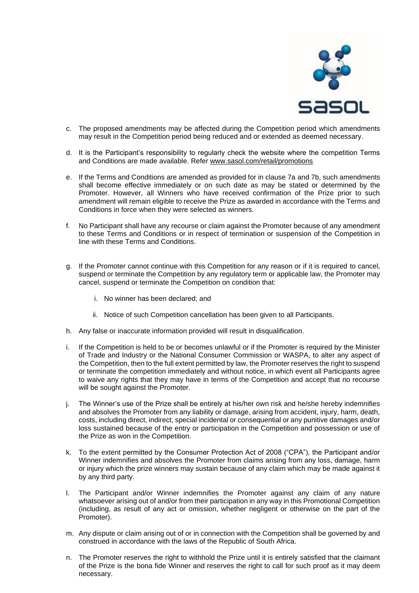

- c. The proposed amendments may be affected during the Competition period which amendments may result in the Competition period being reduced and or extended as deemed necessary.
- d. It is the Participant's responsibility to regularly check the website where the competition Terms and Conditions are made available. Refer [www.sasol.com/retail/promotions](http://www.sasol.com/retail/promotions)
- e. If the Terms and Conditions are amended as provided for in clause 7a and 7b, such amendments shall become effective immediately or on such date as may be stated or determined by the Promoter. However, all Winners who have received confirmation of the Prize prior to such amendment will remain eligible to receive the Prize as awarded in accordance with the Terms and Conditions in force when they were selected as winners.
- f. No Participant shall have any recourse or claim against the Promoter because of any amendment to these Terms and Conditions or in respect of termination or suspension of the Competition in line with these Terms and Conditions.
- g. If the Promoter cannot continue with this Competition for any reason or if it is required to cancel, suspend or terminate the Competition by any regulatory term or applicable law, the Promoter may cancel, suspend or terminate the Competition on condition that:
	- i. No winner has been declared; and
	- ii. Notice of such Competition cancellation has been given to all Participants.
- h. Any false or inaccurate information provided will result in disqualification.
- i. If the Competition is held to be or becomes unlawful or if the Promoter is required by the Minister of Trade and Industry or the National Consumer Commission or WASPA, to alter any aspect of the Competition, then to the full extent permitted by law, the Promoter reserves the right to suspend or terminate the competition immediately and without notice, in which event all Participants agree to waive any rights that they may have in terms of the Competition and accept that no recourse will be sought against the Promoter.
- j. The Winner's use of the Prize shall be entirely at his/her own risk and he/she hereby indemnifies and absolves the Promoter from any liability or damage, arising from accident, injury, harm, death, costs, including direct, indirect, special incidental or consequential or any punitive damages and/or loss sustained because of the entry or participation in the Competition and possession or use of the Prize as won in the Competition.
- k. To the extent permitted by the Consumer Protection Act of 2008 ("CPA"), the Participant and/or Winner indemnifies and absolves the Promoter from claims arising from any loss, damage, harm or injury which the prize winners may sustain because of any claim which may be made against it by any third party.
- l. The Participant and/or Winner indemnifies the Promoter against any claim of any nature whatsoever arising out of and/or from their participation in any way in this Promotional Competition (including, as result of any act or omission, whether negligent or otherwise on the part of the Promoter).
- m. Any dispute or claim arising out of or in connection with the Competition shall be governed by and construed in accordance with the laws of the Republic of South Africa.
- n. The Promoter reserves the right to withhold the Prize until it is entirely satisfied that the claimant of the Prize is the bona fide Winner and reserves the right to call for such proof as it may deem necessary.